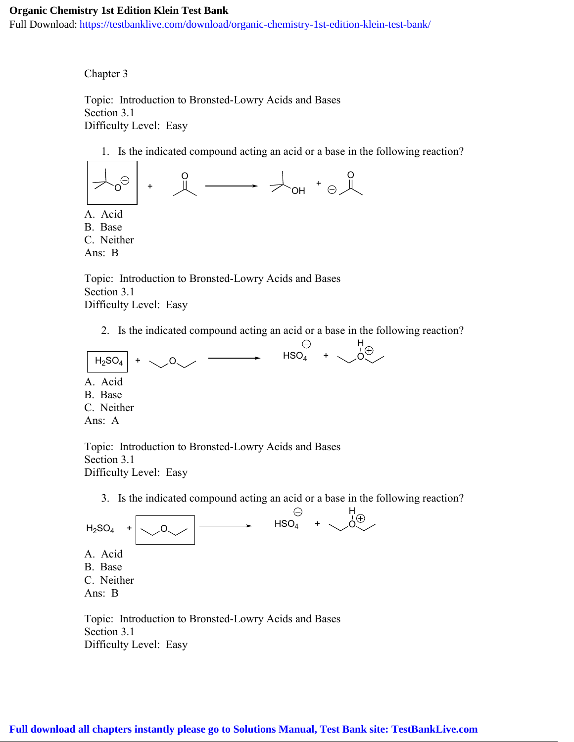## **Organic Chemistry 1st Edition Klein Test Bank**

Full Download: https://testbanklive.com/download/organic-chemistry-1st-edition-klein-test-bank/

Chapter 3

Topic: Introduction to Bronsted-Lowry Acids and Bases Section 3.1 Difficulty Level: Easy

1. Is the indicated compound acting an acid or a base in the following reaction?



C. Neither

Ans: B

Topic: Introduction to Bronsted-Lowry Acids and Bases Section 3.1 Difficulty Level: Easy

2. Is the indicated compound acting an acid or a base in the following reaction?



Topic: Introduction to Bronsted-Lowry Acids and Bases Section 3.1 Difficulty Level: Easy

3. Is the indicated compound acting an acid or a base in the following reaction?



Topic: Introduction to Bronsted-Lowry Acids and Bases Section 3.1 Difficulty Level: Easy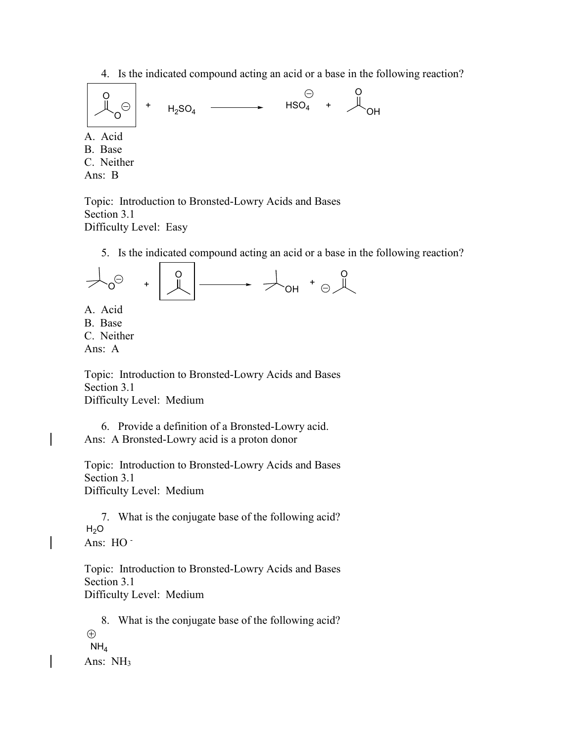4. Is the indicated compound acting an acid or a base in the following reaction?



Topic: Introduction to Bronsted-Lowry Acids and Bases Section 3.1 Difficulty Level: Easy

5. Is the indicated compound acting an acid or a base in the following reaction?



C. Neither

Ans: A

Topic: Introduction to Bronsted-Lowry Acids and Bases Section 3.1 Difficulty Level: Medium

6. Provide a definition of a Bronsted-Lowry acid. Ans: A Bronsted-Lowry acid is a proton donor

Topic: Introduction to Bronsted-Lowry Acids and Bases Section 3.1 Difficulty Level: Medium

7. What is the conjugate base of the following acid?  $H_2O$ Ans: HO -

Topic: Introduction to Bronsted-Lowry Acids and Bases Section 3.1 Difficulty Level: Medium

8. What is the conjugate base of the following acid?  $\bigoplus$  $NH<sub>4</sub>$ Ans: NH3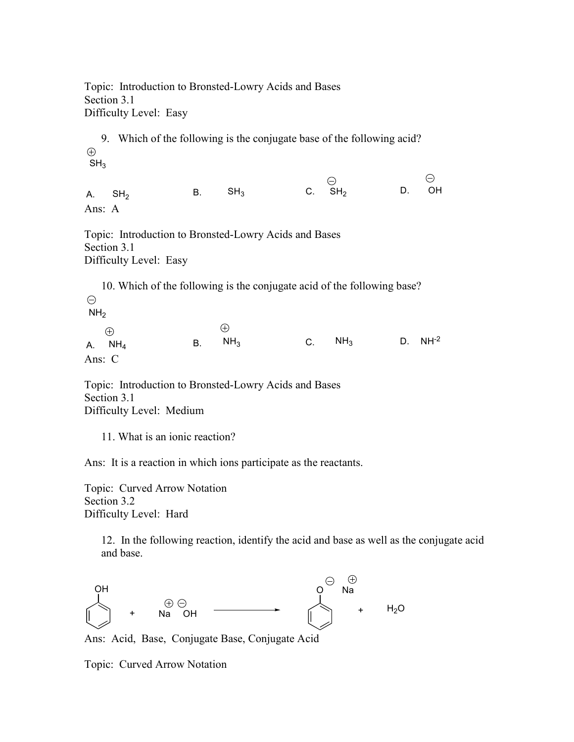Topic: Introduction to Bronsted-Lowry Acids and Bases Section 3.1 Difficulty Level: Easy

9. Which of the following is the conjugate base of the following acid?  $\bigoplus$  $SH<sub>3</sub>$ 

A.  $SH<sub>2</sub>$ B. SH<sub>3</sub> C. SH<sub>2</sub> D. OH Ans: A

 $\ominus$ 

Topic: Introduction to Bronsted-Lowry Acids and Bases Section 3.1 Difficulty Level: Easy

10. Which of the following is the conjugate acid of the following base?  $\ominus$  $NH<sub>2</sub>$  $\bigoplus$  $\bigoplus$  $NH<sub>3</sub>$ A.  $NH_4$  B.  $NH_3$  C.  $NH_3$  D.  $NH^{-2}$  $NH<sub>4</sub>$ Ans: C

Topic: Introduction to Bronsted-Lowry Acids and Bases Section 3.1

Difficulty Level: Medium

11. What is an ionic reaction?

Ans: It is a reaction in which ions participate as the reactants.

Topic: Curved Arrow Notation Section 3.2 Difficulty Level: Hard

> 12. In the following reaction, identify the acid and base as well as the conjugate acid and base.



Ans: Acid, Base, Conjugate Base, Conjugate Acid

Topic: Curved Arrow Notation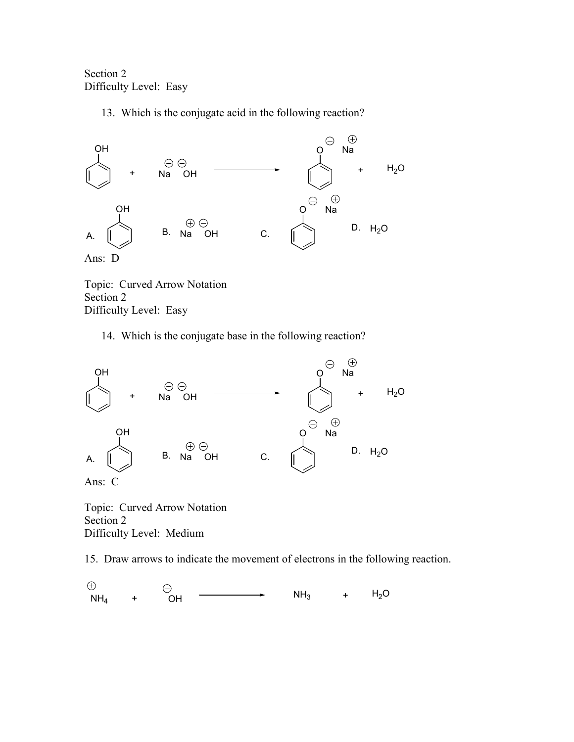Section 2 Difficulty Level: Easy

13. Which is the conjugate acid in the following reaction?



Topic: Curved Arrow Notation Section 2 Difficulty Level: Easy

14. Which is the conjugate base in the following reaction?



Ans: C

Topic: Curved Arrow Notation Section 2 Difficulty Level: Medium

15. Draw arrows to indicate the movement of electrons in the following reaction.

 $NH_4$  + OH  $\longrightarrow$  NH<sub>3</sub> + H<sub>2</sub>O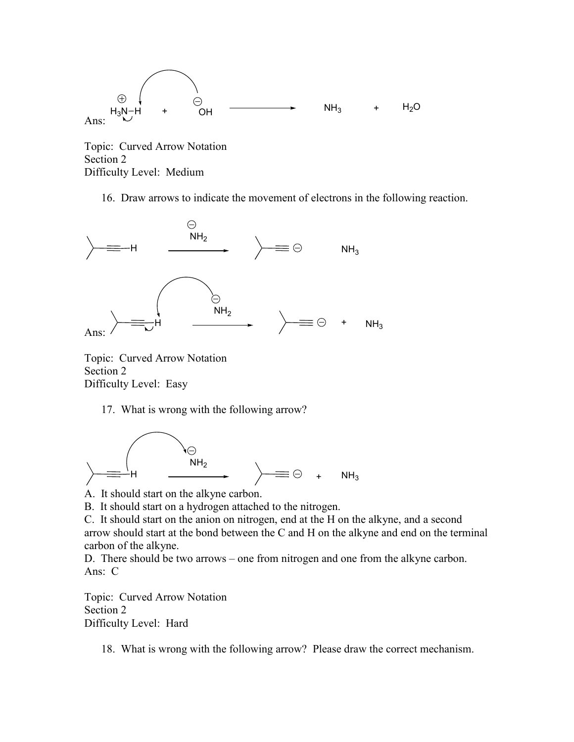

Topic: Curved Arrow Notation Section 2 Difficulty Level: Medium

16. Draw arrows to indicate the movement of electrons in the following reaction.



Topic: Curved Arrow Notation Section 2 Difficulty Level: Easy

17. What is wrong with the following arrow?



A. It should start on the alkyne carbon.

B. It should start on a hydrogen attached to the nitrogen.

C. It should start on the anion on nitrogen, end at the H on the alkyne, and a second arrow should start at the bond between the C and H on the alkyne and end on the terminal carbon of the alkyne.

D. There should be two arrows – one from nitrogen and one from the alkyne carbon. Ans: C

Topic: Curved Arrow Notation Section 2 Difficulty Level: Hard

18. What is wrong with the following arrow? Please draw the correct mechanism.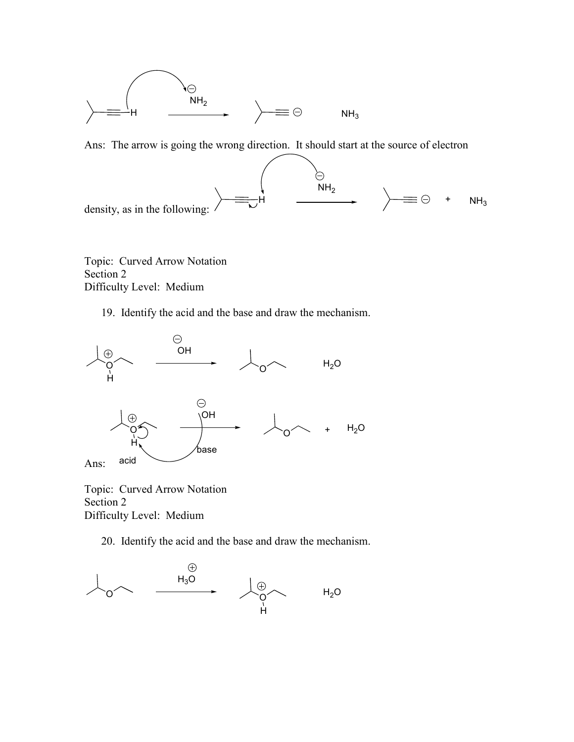

Ans: The arrow is going the wrong direction. It should start at the source of electron



Topic: Curved Arrow Notation Section 2 Difficulty Level: Medium

19. Identify the acid and the base and draw the mechanism.



Topic: Curved Arrow Notation Section 2 Difficulty Level: Medium

20. Identify the acid and the base and draw the mechanism.

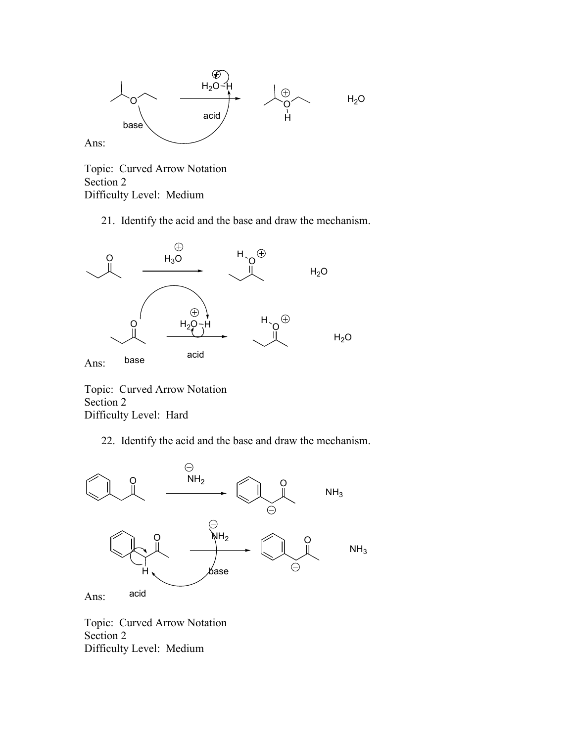

Topic: Curved Arrow Notation Section 2 Difficulty Level: Medium

21. Identify the acid and the base and draw the mechanism.



Topic: Curved Arrow Notation Section 2 Difficulty Level: Hard

22. Identify the acid and the base and draw the mechanism.



Topic: Curved Arrow Notation Section 2 Difficulty Level: Medium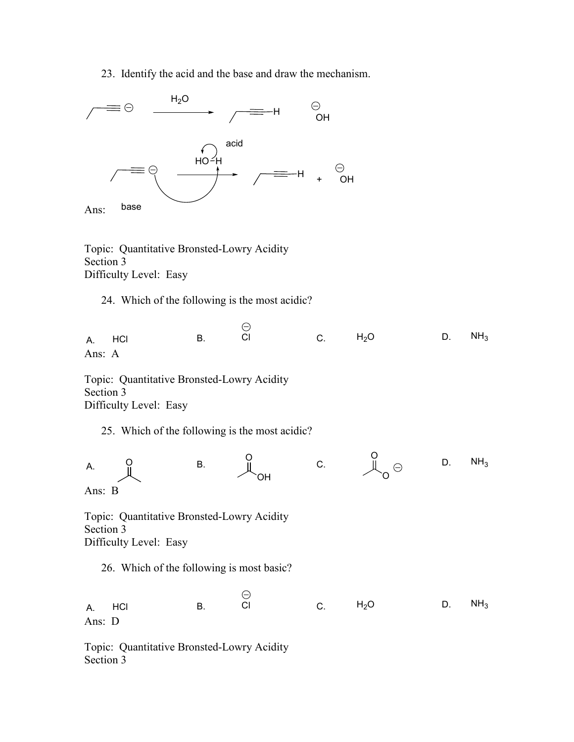23. Identify the acid and the base and draw the mechanism.



Topic: Quantitative Bronsted-Lowry Acidity Section 3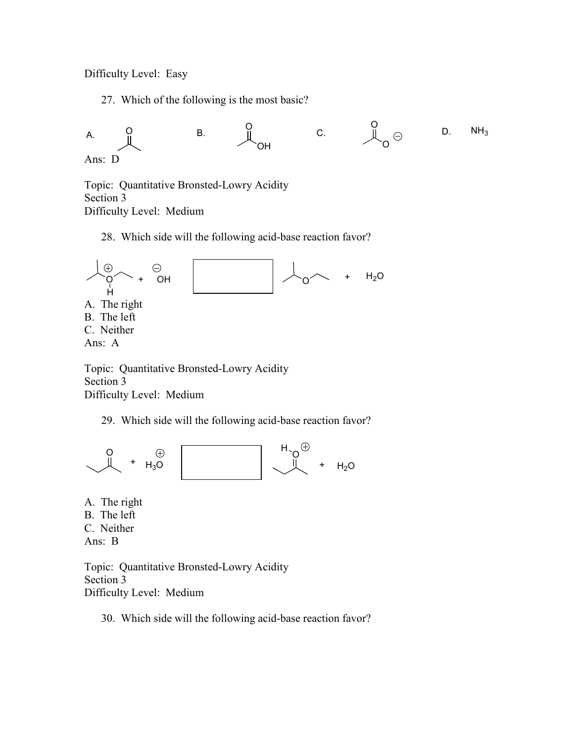Difficulty Level: Easy

27. Which of the following is the most basic?



Topic: Quantitative Bronsted-Lowry Acidity Section 3 Difficulty Level: Medium

28. Which side will the following acid-base reaction favor?



Topic: Quantitative Bronsted-Lowry Acidity Section 3 Difficulty Level: Medium

29. Which side will the following acid-base reaction favor?



A. The right B. The left C. Neither Ans: B

Topic: Quantitative Bronsted-Lowry Acidity Section 3 Difficulty Level: Medium

30. Which side will the following acid-base reaction favor?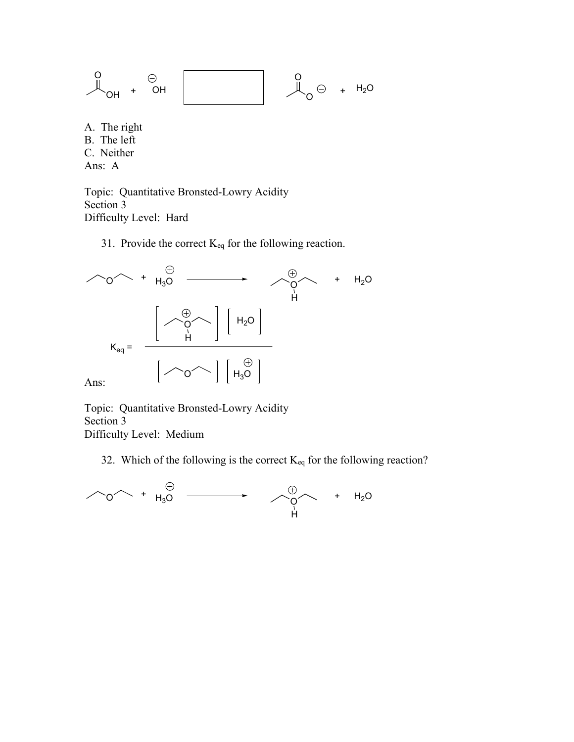$$
\begin{array}{ccccccc}\n0 & & & \odot & & & \\
\hline\n\downarrow & & & & & \n\end{array}
$$

A. The right B. The left C. Neither Ans: A

Topic: Quantitative Bronsted-Lowry Acidity Section 3 Difficulty Level: Hard

31. Provide the correct  $K_{eq}$  for the following reaction.



Topic: Quantitative Bronsted-Lowry Acidity Section 3 Difficulty Level: Medium

32. Which of the following is the correct  $K_{eq}$  for the following reaction?

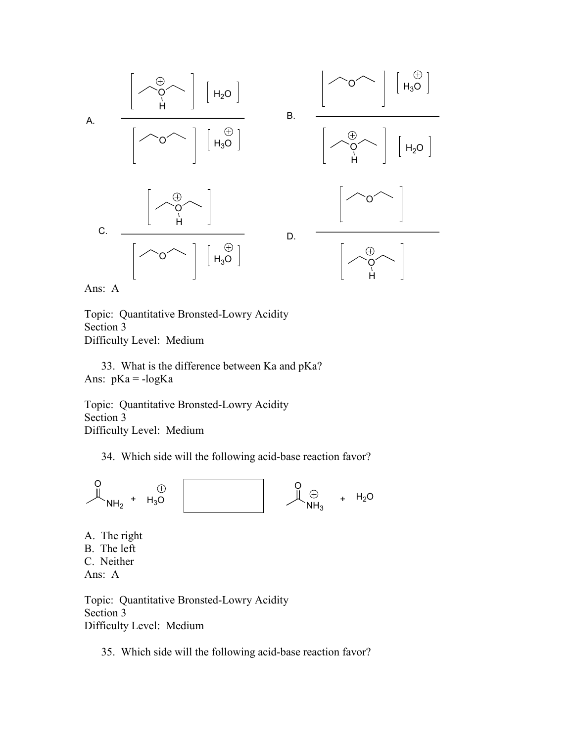

Ans: A

Topic: Quantitative Bronsted-Lowry Acidity Section 3 Difficulty Level: Medium

33. What is the difference between Ka and pKa? Ans:  $pKa = -logKa$ 

Topic: Quantitative Bronsted-Lowry Acidity Section 3 Difficulty Level: Medium

34. Which side will the following acid-base reaction favor?



A. The right B. The left C. Neither Ans: A

Topic: Quantitative Bronsted-Lowry Acidity Section 3 Difficulty Level: Medium

35. Which side will the following acid-base reaction favor?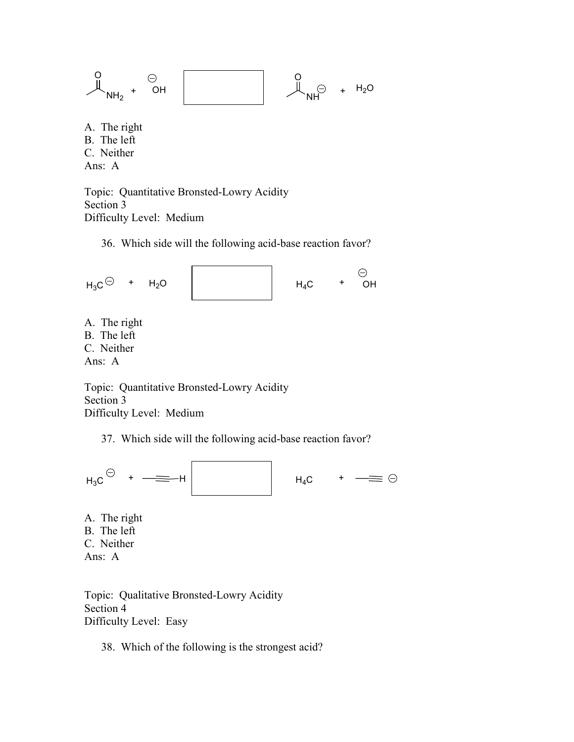$$
\begin{array}{ccccccc}\nO & & & \ominus & & & & \\
\mathbb{I} & & & & & \downarrow & & \\
\mathbb{I} & & & & & & \downarrow & \\
\mathbb{I} & & & & & & \downarrow & \\
\mathbb{I} & & & & & & \downarrow & \\
\mathbb{I} & & & & & & \downarrow & \\
\mathbb{I} & & & & & & \downarrow & \\
\mathbb{I} & & & & & & \downarrow & \\
\mathbb{I} & & & & & & \downarrow & \\
\mathbb{I} & & & & & & \downarrow & \\
\mathbb{I} & & & & & & \downarrow & \\
\mathbb{I} & & & & & & \downarrow & \\
\mathbb{I} & & & & & & \downarrow & \\
\mathbb{I} & & & & & & \downarrow & \\
\mathbb{I} & & & & & & \downarrow & \\
\mathbb{I} & & & & & & \downarrow & \\
\mathbb{I} & & & & & & \downarrow & \\
\mathbb{I} & & & & & & \downarrow & \\
\mathbb{I} & & & & & & \downarrow & \\
\mathbb{I} & & & & & & \downarrow & \\
\mathbb{I} & & & & & & \downarrow & \\
\mathbb{I} & & & & & & \downarrow & \\
\mathbb{I} & & & & & & \downarrow & \\
\mathbb{I} & & & & & & \downarrow & \\
\mathbb{I} & & & & & & \downarrow & \\
\mathbb{I} & & & & & & \downarrow & \\
\mathbb{I} & & & & & & \downarrow & \\
\mathbb{I} & & & & & & \downarrow & \\
\mathbb{I} & & & & & & \downarrow & \\
\mathbb{I} & & & & & & \downarrow & \\
\mathbb{I} & & & & & & \downarrow & \\
\mathbb{I} & & & & & & \downarrow & \\
\mathbb{I} & & & & & & \downarrow & \\
\mathbb{I} & & & & & & \downarrow & \\
\mathbb{I} & & & & & & \downarrow & \\
\mathbb{I} & & & & & & \downarrow & \\
\mathbb{I} & & & & & & \downarrow & \\
\mathbb{I} & & & & & & \downarrow & \\
\mathbb{I} & & & & & & \downarrow & \\
\mathbb{I} & & & & & & \downarrow & \\
\mathbb{I} & & & & & & \downarrow & \\
\mathbb{I} & & & & & & \downarrow & \\
\mathbb{I} & & & & & & \downarrow & \\
\mathbb{I} & & & & & & \downarrow & \\
\mathbb{I} & &
$$

A. The right B. The left C. Neither Ans: A

Topic: Quantitative Bronsted-Lowry Acidity Section 3 Difficulty Level: Medium

36. Which side will the following acid-base reaction favor?

 $H_3C \odot + H_2O$   $H_4C + OH$ 

A. The right B. The left C. Neither Ans: A

Topic: Quantitative Bronsted-Lowry Acidity Section 3 Difficulty Level: Medium

37. Which side will the following acid-base reaction favor?

 $H_3C \leftarrow + \frac{1}{\sqrt{2}} H$   $H_4C + \frac{1}{\sqrt{2}} \odot$ 



A. The right B. The left C. Neither Ans: A

Topic: Qualitative Bronsted-Lowry Acidity Section 4 Difficulty Level: Easy

38. Which of the following is the strongest acid?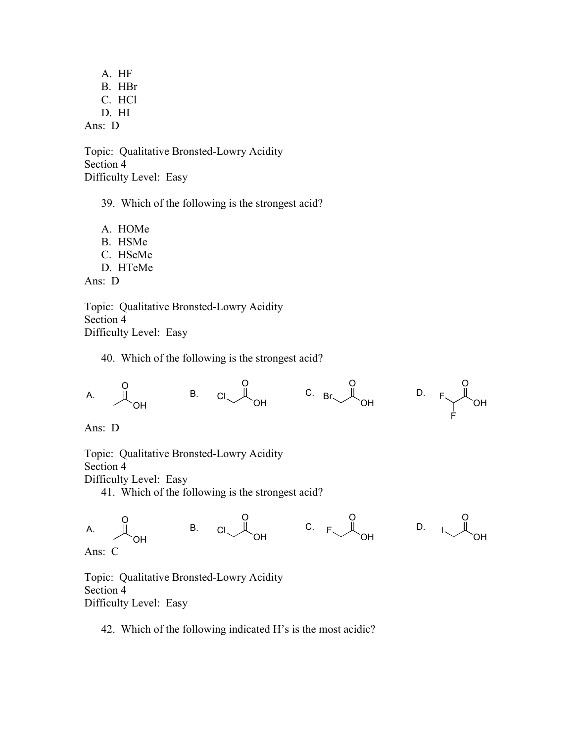A. HF B. HBr C. HCl D. HI Ans: D

Topic: Qualitative Bronsted-Lowry Acidity Section 4 Difficulty Level: Easy

39. Which of the following is the strongest acid?

- A. HOMe
- B. HSMe
- C. HSeMe
- D. HTeMe

Ans: D

Topic: Qualitative Bronsted-Lowry Acidity Section 4 Difficulty Level: Easy

40. Which of the following is the strongest acid?



Ans: D

Topic: Qualitative Bronsted-Lowry Acidity

Section 4

Difficulty Level: Easy

41. Which of the following is the strongest acid?



Topic: Qualitative Bronsted-Lowry Acidity Section 4 Difficulty Level: Easy

42. Which of the following indicated H's is the most acidic?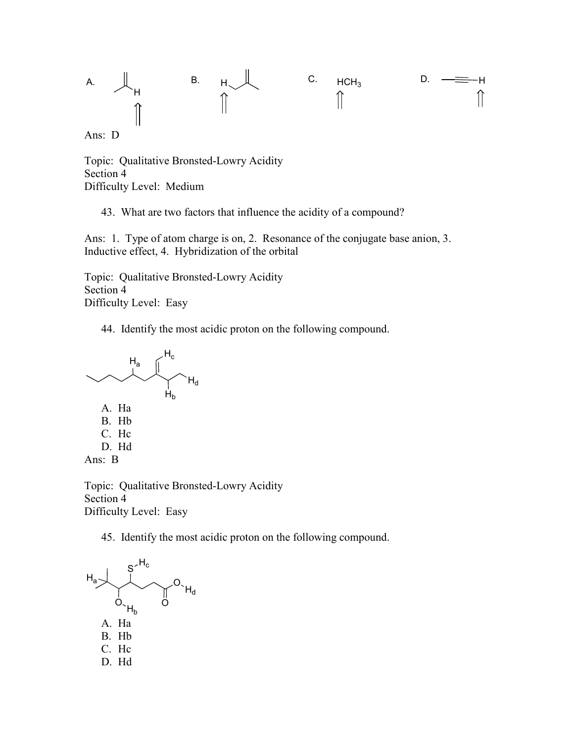

Ans: D

Topic: Qualitative Bronsted-Lowry Acidity Section 4 Difficulty Level: Medium

43. What are two factors that influence the acidity of a compound?

Ans: 1. Type of atom charge is on, 2. Resonance of the conjugate base anion, 3. Inductive effect, 4. Hybridization of the orbital

Topic: Qualitative Bronsted-Lowry Acidity Section 4 Difficulty Level: Easy

44. Identify the most acidic proton on the following compound.



Topic: Qualitative Bronsted-Lowry Acidity Section 4 Difficulty Level: Easy

45. Identify the most acidic proton on the following compound.

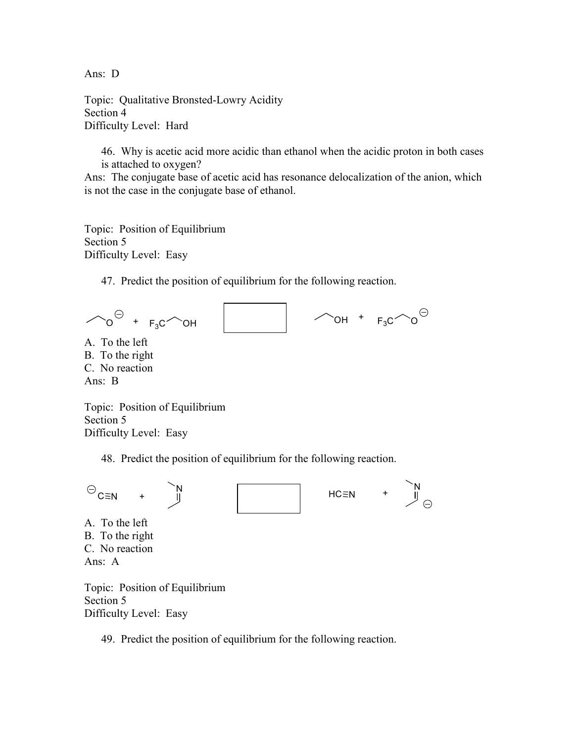Ans: D

Topic: Qualitative Bronsted-Lowry Acidity Section 4 Difficulty Level: Hard

46. Why is acetic acid more acidic than ethanol when the acidic proton in both cases is attached to oxygen?

Ans: The conjugate base of acetic acid has resonance delocalization of the anion, which is not the case in the conjugate base of ethanol.

Topic: Position of Equilibrium Section 5 Difficulty Level: Easy

47. Predict the position of equilibrium for the following reaction.

 $\curvearrowright$  o<sup> $\ominus$ </sup> +  $F_3C$  oh  $\sim$ OH +  $F_3C \sim O^{\Theta}$ 

A. To the left B. To the right C. No reaction Ans: B

Topic: Position of Equilibrium Section 5 Difficulty Level: Easy

48. Predict the position of equilibrium for the following reaction.



Section 5 Difficulty Level: Easy

49. Predict the position of equilibrium for the following reaction.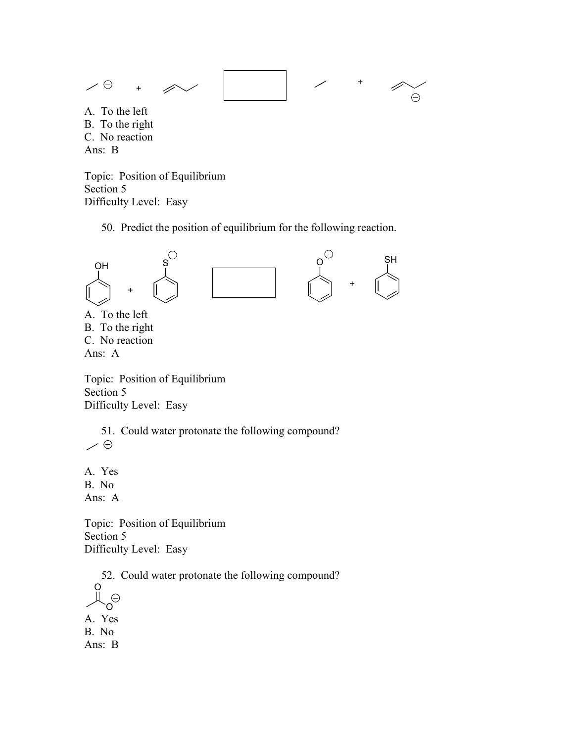

Topic: Position of Equilibrium Section 5 Difficulty Level: Easy

50. Predict the position of equilibrium for the following reaction.



B. To the right C. No reaction Ans: A

Topic: Position of Equilibrium Section 5 Difficulty Level: Easy

51. Could water protonate the following compound?  $\angle \Theta$ 

A. Yes B. No Ans: A

Topic: Position of Equilibrium Section 5 Difficulty Level: Easy

52. Could water protonate the following compound?

O  $\mathcal{O}$ A. Yes B. No Ans: B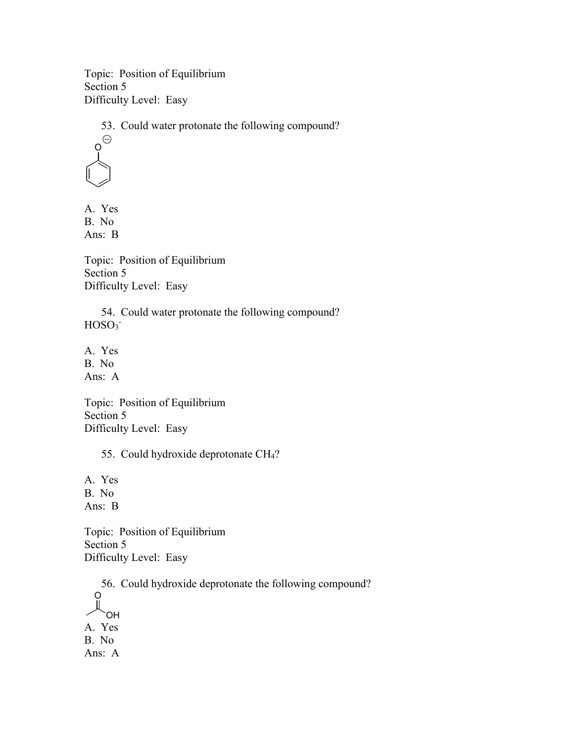Topic: Position of Equilibrium Section 5 Difficulty Level: Easy

53. Could water protonate the following compound?



A. Yes B. No Ans: B

Topic: Position of Equilibrium Section 5 Difficulty Level: Easy

54. Could water protonate the following compound?  $HOSO<sub>3</sub>$ 

A. Yes B. No Ans: A

Topic: Position of Equilibrium Section 5 Difficulty Level: Easy

55. Could hydroxide deprotonate CH4?

A. Yes B. No Ans: B

Topic: Position of Equilibrium Section 5 Difficulty Level: Easy

56. Could hydroxide deprotonate the following compound? O OH A. Yes B. No Ans: A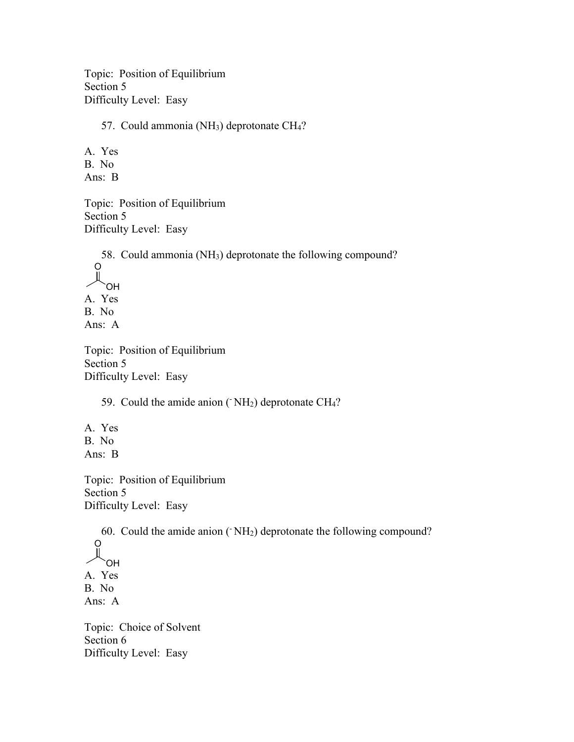Topic: Position of Equilibrium Section 5 Difficulty Level: Easy

57. Could ammonia (NH<sub>3</sub>) deprotonate CH<sub>4</sub>?

A. Yes B. No Ans: B

Topic: Position of Equilibrium Section 5 Difficulty Level: Easy

58. Could ammonia (NH3) deprotonate the following compound? O OH A. Yes B. No Ans: A

Topic: Position of Equilibrium Section 5 Difficulty Level: Easy

59. Could the amide anion ( $\mathrm{NH}_2$ ) deprotonate CH<sub>4</sub>?

A. Yes B. No Ans: B

Topic: Position of Equilibrium Section 5 Difficulty Level: Easy

60. Could the amide anion  $(NH<sub>2</sub>)$  deprotonate the following compound? O OH A. Yes B. No Ans: A

Topic: Choice of Solvent Section 6 Difficulty Level: Easy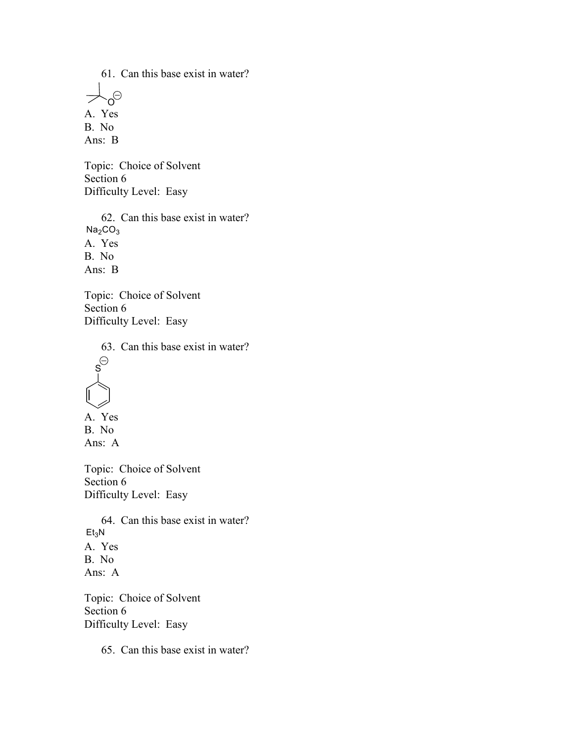61. Can this base exist in water?  $\overline{z}$  $\Theta$ A. Yes B. No Ans: B

Topic: Choice of Solvent Section 6 Difficulty Level: Easy

62. Can this base exist in water?  $Na<sub>2</sub>CO<sub>3</sub>$ A. Yes B. No Ans: B

Topic: Choice of Solvent Section 6 Difficulty Level: Easy

63. Can this base exist in water?  $\mathbf{s}^{\ominus}$ A. Yes B. No Ans: A Topic: Choice of Solvent

Section 6 Difficulty Level: Easy

64. Can this base exist in water?  $Et<sub>3</sub>N$ A. Yes B. No Ans: A

Topic: Choice of Solvent Section 6 Difficulty Level: Easy

65. Can this base exist in water?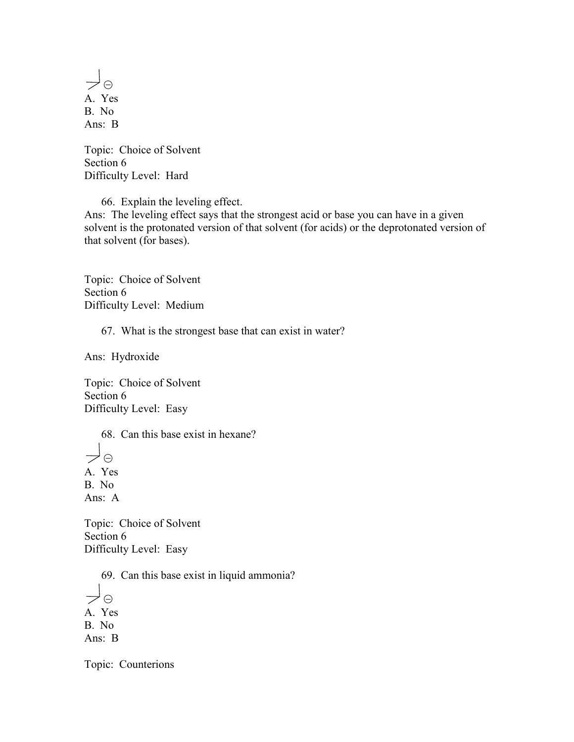$\rightarrow \circ$ A. Yes B. No Ans: B

Topic: Choice of Solvent Section 6 Difficulty Level: Hard

66. Explain the leveling effect. Ans: The leveling effect says that the strongest acid or base you can have in a given solvent is the protonated version of that solvent (for acids) or the deprotonated version of

Topic: Choice of Solvent Section 6 Difficulty Level: Medium

that solvent (for bases).

67. What is the strongest base that can exist in water?

Ans: Hydroxide

Topic: Choice of Solvent Section 6 Difficulty Level: Easy

68. Can this base exist in hexane?

 $\rightarrow \circ$ A. Yes B. No Ans: A

Topic: Choice of Solvent Section 6 Difficulty Level: Easy

69. Can this base exist in liquid ammonia?

 $\prec \circ$ A. Yes B. No Ans: B

Topic: Counterions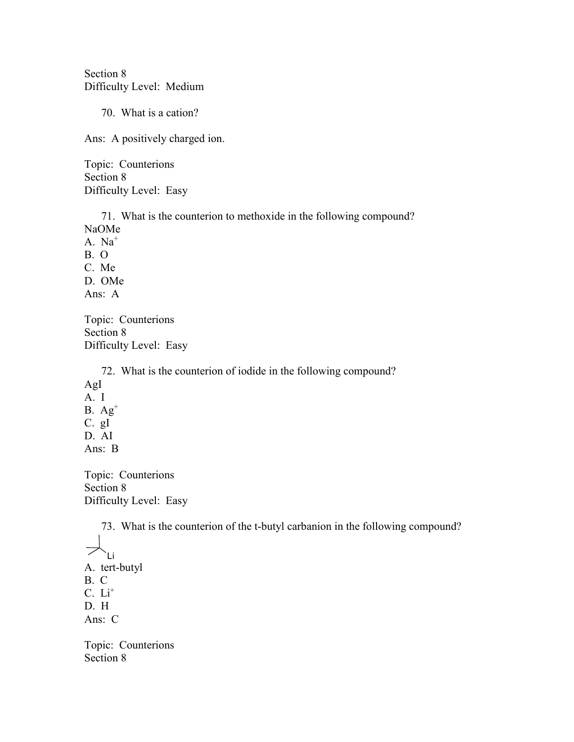Section 8 Difficulty Level: Medium

70. What is a cation?

Ans: A positively charged ion.

Topic: Counterions Section 8 Difficulty Level: Easy

71. What is the counterion to methoxide in the following compound? NaOMe A. Na<sup>+</sup> B. O C. Me D. OMe Ans: A

Topic: Counterions Section 8 Difficulty Level: Easy

72. What is the counterion of iodide in the following compound? AgI A. I  $B. Ag<sup>+</sup>$ C. gI D. AI Ans: B

Topic: Counterions Section 8 Difficulty Level: Easy

73. What is the counterion of the t-butyl carbanion in the following compound?  $\overline{\nearrow}$ Li A. tert-butyl B. C  $C. Li<sup>+</sup>$ D. H Ans: C Topic: Counterions

Section 8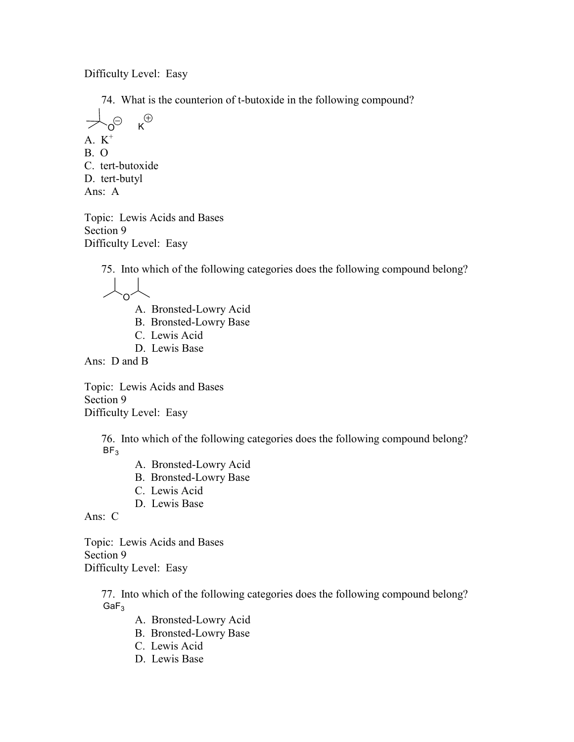Difficulty Level: Easy

74. What is the counterion of t-butoxide in the following compound?

$$
\begin{array}{ccc}\n & & \bigoplus & \mathsf{R}^{\oplus} \\
A. & K^+ & & \\
B. & O & & \\
C. & \text{tert-butoxide} & & \\
D. & \text{tert-butyl} & & \\
Ans: A\n\end{array}
$$

Topic: Lewis Acids and Bases Section 9 Difficulty Level: Easy

75. Into which of the following categories does the following compound belong?

O

- A. Bronsted-Lowry Acid
- B. Bronsted-Lowry Base
- C. Lewis Acid
- D. Lewis Base

Ans: D and B

Topic: Lewis Acids and Bases Section 9 Difficulty Level: Easy

> 76. Into which of the following categories does the following compound belong?  $BF<sub>3</sub>$

- A. Bronsted-Lowry Acid
- B. Bronsted-Lowry Base
- C. Lewis Acid
- D. Lewis Base

Ans: C

Topic: Lewis Acids and Bases Section 9 Difficulty Level: Easy

> 77. Into which of the following categories does the following compound belong?  $GaF<sub>3</sub>$

- A. Bronsted-Lowry Acid
- B. Bronsted-Lowry Base
- C. Lewis Acid
- D. Lewis Base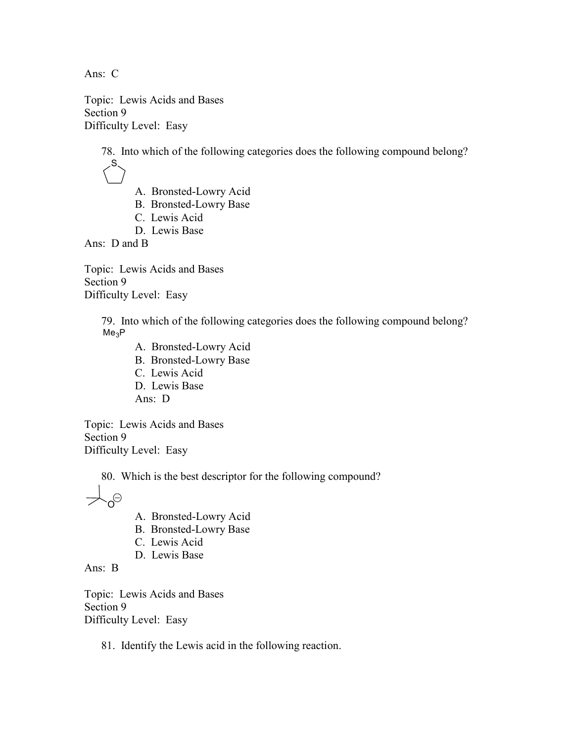Ans: C

Topic: Lewis Acids and Bases Section 9 Difficulty Level: Easy

> 78. Into which of the following categories does the following compound belong? S

- A. Bronsted-Lowry Acid
- B. Bronsted-Lowry Base
- C. Lewis Acid
- D. Lewis Base

Ans: D and B

Topic: Lewis Acids and Bases Section 9 Difficulty Level: Easy

> 79. Into which of the following categories does the following compound belong?  $Me<sub>3</sub>P$

A. Bronsted-Lowry Acid B. Bronsted-Lowry Base C. Lewis Acid D. Lewis Base Ans: D

Topic: Lewis Acids and Bases Section 9 Difficulty Level: Easy

80. Which is the best descriptor for the following compound?

 $\Theta$ 

- A. Bronsted-Lowry Acid
- B. Bronsted-Lowry Base
- C. Lewis Acid
- D. Lewis Base

Ans: B

Topic: Lewis Acids and Bases Section 9 Difficulty Level: Easy

## 81. Identify the Lewis acid in the following reaction.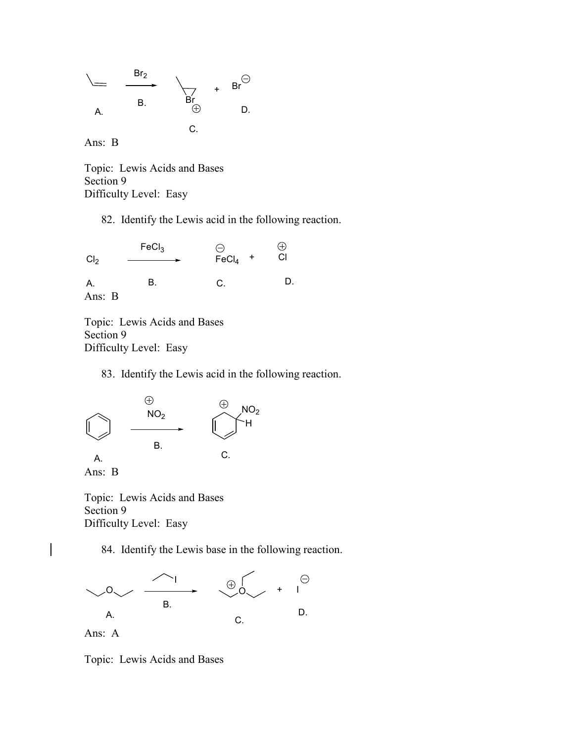

Ans: B

Topic: Lewis Acids and Bases Section 9 Difficulty Level: Easy

82. Identify the Lewis acid in the following reaction.

 $FeCl<sub>3</sub>$  $\bigoplus$  $\check{C}$  $FeCl<sub>4</sub>$  +  $Cl<sub>2</sub>$ C. D. A. B. Ans: B

Topic: Lewis Acids and Bases Section 9 Difficulty Level: Easy

83. Identify the Lewis acid in the following reaction.





 $\overline{\phantom{a}}$ 

Topic: Lewis Acids and Bases Section 9 Difficulty Level: Easy

84. Identify the Lewis base in the following reaction.



Topic: Lewis Acids and Bases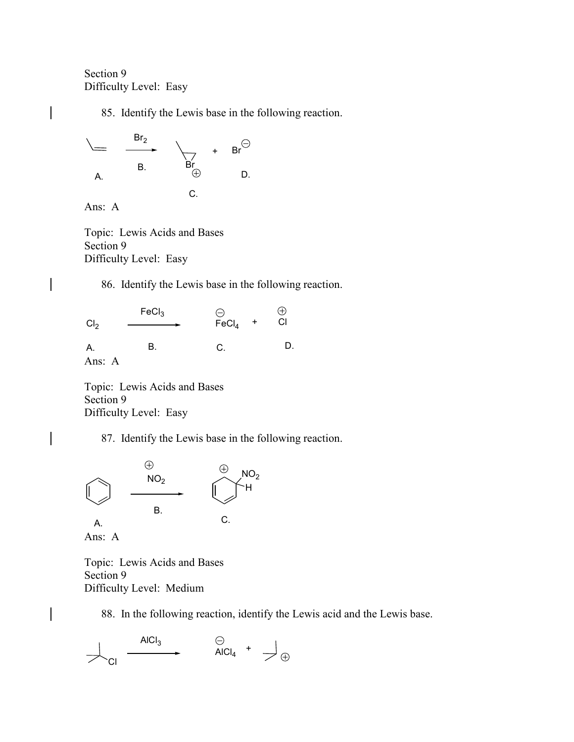## Section 9 Difficulty Level: Easy

85. Identify the Lewis base in the following reaction.



Ans: A

Topic: Lewis Acids and Bases Section 9 Difficulty Level: Easy

86. Identify the Lewis base in the following reaction.

 $FeCl<sub>3</sub>$  $\ominus$ FeCl<sub>4</sub>  $\oplus$  $\check{c}$ +  $Cl<sub>2</sub>$ C. D. A. B. Ans: A

Topic: Lewis Acids and Bases Section 9 Difficulty Level: Easy

87. Identify the Lewis base in the following reaction.



Topic: Lewis Acids and Bases Section 9 Difficulty Level: Medium

88. In the following reaction, identify the Lewis acid and the Lewis base.

$$
\overline{\phantom{a}}_{\begin{matrix}C|c|c|c|c|c|c|c|c} \end{matrix}}\qquad\begin{matrix} \text{AICl}_3 & & \begin{matrix} \ominus & & & \\ & \text{AICl}_4 & ^+ & \end{matrix} \end{matrix}\oplus
$$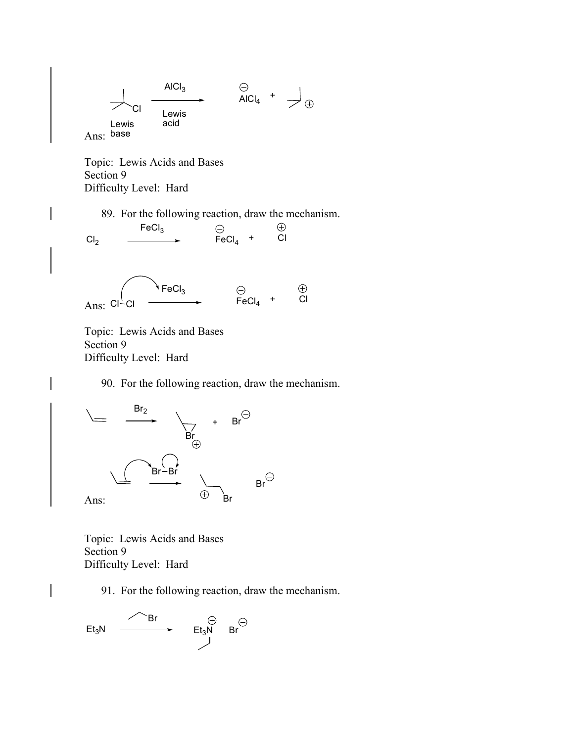

Topic: Lewis Acids and Bases Section 9 Difficulty Level: Hard

 $FeCl<sub>3</sub>$ 

89. For the following reaction, draw the mechanism.

 $\check{c}$ 

 $\bigoplus$ 

 $Cl<sub>2</sub>$ 

Ans: Cl-

 $\overline{\phantom{a}}$ 

 $\ominus$ FeCl<sub>4</sub> +  $\checkmark$  FeCl<sub>3</sub>

 $Cl<sup>1</sup>Cl$   $\longrightarrow$  FeCl<sub>4</sub>  $+$  Cl

Topic: Lewis Acids and Bases Section 9 Difficulty Level: Hard

90. For the following reaction, draw the mechanism.



Topic: Lewis Acids and Bases Section 9 Difficulty Level: Hard

91. For the following reaction, draw the mechanism.